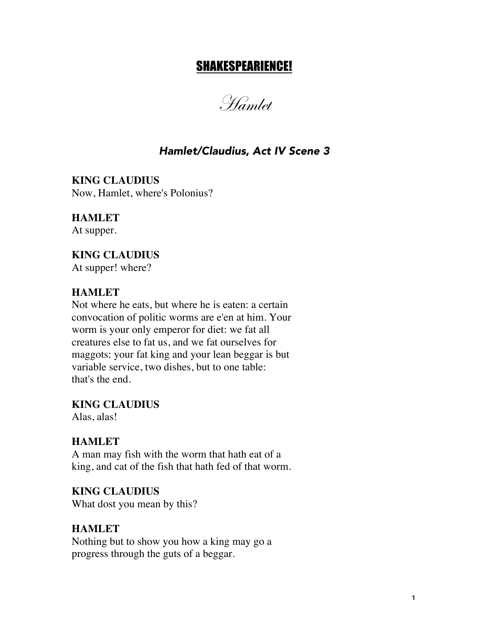# SHAKESPEARIENCE!

Hamlet

# *Hamlet/Claudius, Act IV Scene 3*

**KING CLAUDIUS** Now, Hamlet, where's Polonius?

**HAMLET** At supper.

**KING CLAUDIUS** At supper! where?

#### **HAMLET**

Not where he eats, but where he is eaten: a certain convocation of politic worms are e'en at him. Your worm is your only emperor for diet: we fat all creatures else to fat us, and we fat ourselves for maggots: your fat king and your lean beggar is but variable service, two dishes, but to one table: that's the end.

**KING CLAUDIUS**

Alas, alas!

#### **HAMLET**

A man may fish with the worm that hath eat of a king, and cat of the fish that hath fed of that worm.

**KING CLAUDIUS** What dost you mean by this?

#### **HAMLET**

Nothing but to show you how a king may go a progress through the guts of a beggar.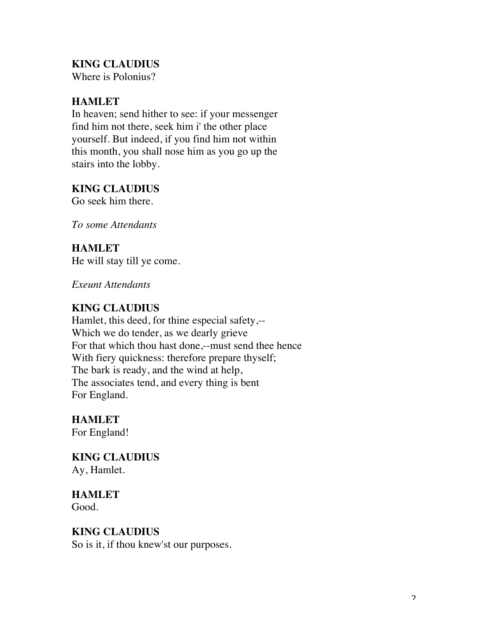# **KING CLAUDIUS**

Where is Polonius?

## **HAMLET**

In heaven; send hither to see: if your messenger find him not there, seek him i' the other place yourself. But indeed, if you find him not within this month, you shall nose him as you go up the stairs into the lobby.

### **KING CLAUDIUS**

Go seek him there.

*To some Attendants*

### **HAMLET**

He will stay till ye come.

*Exeunt Attendants*

### **KING CLAUDIUS**

Hamlet, this deed, for thine especial safety,-- Which we do tender, as we dearly grieve For that which thou hast done,--must send thee hence With fiery quickness: therefore prepare thyself; The bark is ready, and the wind at help, The associates tend, and every thing is bent For England.

**HAMLET** For England!

**KING CLAUDIUS** Ay, Hamlet.

**HAMLET** Good.

### **KING CLAUDIUS**

So is it, if thou knew'st our purposes.